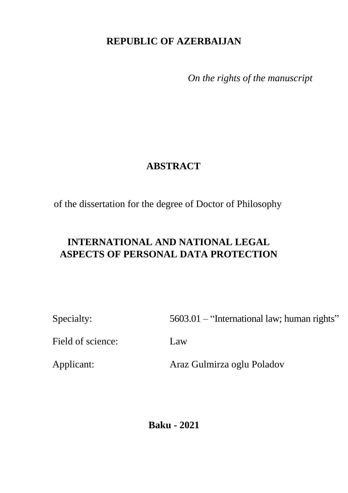## **REPUBLIC OF AZERBAIJAN**

*On the rights of the manuscript*

## **ABSTRACT**

of the dissertation for the degree of Doctor of Philosophy

# **INTERNATIONAL AND NATIONAL LEGAL ASPECTS OF PERSONAL DATA PROTECTION**

Specialty: 5603.01 – "International law; human rights"

Field of science: Law

Applicant: Araz Gulmirza oglu Poladov

**Baku - 2021**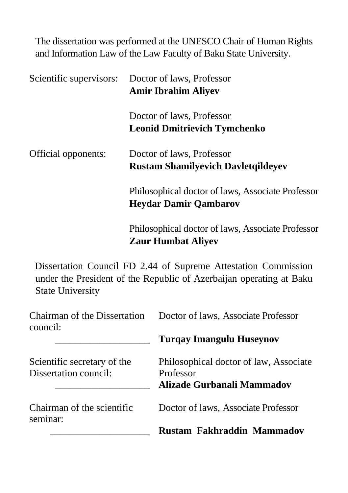The dissertation was performed at the UNESCO Chair of Human Rights and Information Law of the Law Faculty of Baku State University.

| Scientific supervisors:                  | Doctor of laws, Professor<br><b>Amir Ibrahim Aliyev</b>                                                                               |
|------------------------------------------|---------------------------------------------------------------------------------------------------------------------------------------|
|                                          | Doctor of laws, Professor<br><b>Leonid Dmitrievich Tymchenko</b>                                                                      |
| Official opponents:                      | Doctor of laws, Professor<br><b>Rustam Shamilyevich Davletqildeyev</b>                                                                |
|                                          | Philosophical doctor of laws, Associate Professor<br><b>Heydar Damir Qambarov</b>                                                     |
|                                          | Philosophical doctor of laws, Associate Professor<br><b>Zaur Humbat Aliyev</b>                                                        |
| <b>State University</b>                  | Dissertation Council FD 2.44 of Supreme Attestation Commission<br>under the President of the Republic of Azerbaijan operating at Baku |
| Chairman of the Dissertation<br>council: | Doctor of laws, Associate Professor                                                                                                   |

Scientific secretary of the Dissertation council:

Professor \_\_\_\_\_\_\_\_\_\_\_\_\_\_\_\_\_\_\_ **Alizade Gurbanali Mammadov**

Philosophical doctor of law, Associate

\_\_\_\_\_\_\_\_\_\_\_\_\_\_\_\_\_\_\_ **Turqay Imangulu Huseynov**

Chairman of the scientific seminar:

Doctor of laws, Associate Professor

\_\_\_\_\_\_\_\_\_\_\_\_\_\_\_\_\_\_\_\_ **Rustam Fakhraddin Mammadov**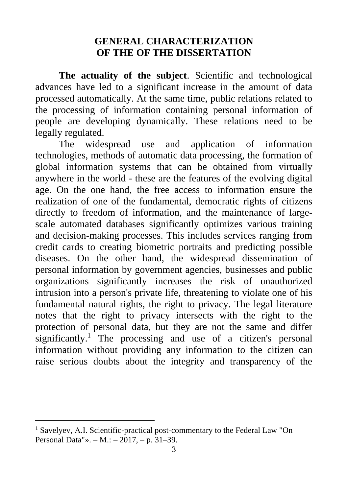#### **GENERAL CHARACTERIZATION OF THE OF THE DISSERTATION**

**The actuality of the subject**. Scientific and technological advances have led to a significant increase in the amount of data processed automatically. At the same time, public relations related to the processing of information containing personal information of people are developing dynamically. These relations need to be legally regulated.

The widespread use and application of information technologies, methods of automatic data processing, the formation of global information systems that can be obtained from virtually anywhere in the world - these are the features of the evolving digital age. On the one hand, the free access to information ensure the realization of one of the fundamental, democratic rights of citizens directly to freedom of information, and the maintenance of largescale automated databases significantly optimizes various training and decision-making processes. This includes services ranging from credit cards to creating biometric portraits and predicting possible diseases. On the other hand, the widespread dissemination of personal information by government agencies, businesses and public organizations significantly increases the risk of unauthorized intrusion into a person's private life, threatening to violate one of his fundamental natural rights, the right to privacy. The legal literature notes that the right to privacy intersects with the right to the protection of personal data, but they are not the same and differ significantly.<sup>1</sup> The processing and use of a citizen's personal information without providing any information to the citizen can raise serious doubts about the integrity and transparency of the

<sup>&</sup>lt;sup>1</sup> Savelyev, A.I. Scientific-practical post-commentary to the Federal Law "On Personal Data"». – М.: – 2017, – p. 31–39.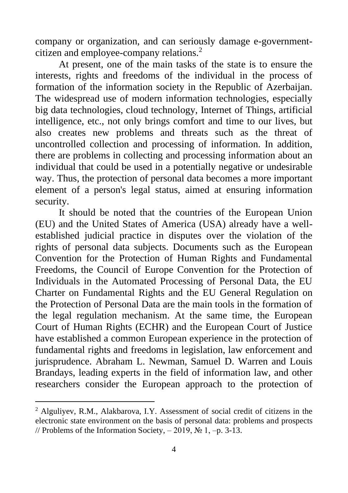company or organization, and can seriously damage e-governmentcitizen and employee-company relations.<sup>2</sup>

At present, one of the main tasks of the state is to ensure the interests, rights and freedoms of the individual in the process of formation of the information society in the Republic of Azerbaijan. The widespread use of modern information technologies, especially big data technologies, cloud technology, Internet of Things, artificial intelligence, etc., not only brings comfort and time to our lives, but also creates new problems and threats such as the threat of uncontrolled collection and processing of information. In addition, there are problems in collecting and processing information about an individual that could be used in a potentially negative or undesirable way. Thus, the protection of personal data becomes a more important element of a person's legal status, aimed at ensuring information security.

It should be noted that the countries of the European Union (EU) and the United States of America (USA) already have a wellestablished judicial practice in disputes over the violation of the rights of personal data subjects. Documents such as the European Convention for the Protection of Human Rights and Fundamental Freedoms, the Council of Europe Convention for the Protection of Individuals in the Automated Processing of Personal Data, the EU Charter on Fundamental Rights and the EU General Regulation on the Protection of Personal Data are the main tools in the formation of the legal regulation mechanism. At the same time, the European Court of Human Rights (ECHR) and the European Court of Justice have established a common European experience in the protection of fundamental rights and freedoms in legislation, law enforcement and jurisprudence. Abraham L. Newman, Samuel D. Warren and Louis Brandays, leading experts in the field of information law, and other researchers consider the European approach to the protection of

<sup>2</sup> Alguliyev, R.M., Alakbarova, I.Y. Assessment of social credit of citizens in the electronic state environment on the basis of personal data: problems and prospects // Problems of the Information Society,  $-2019$ ,  $\mathcal{N}_2$  1,  $-\mathbf{p}$ . 3-13.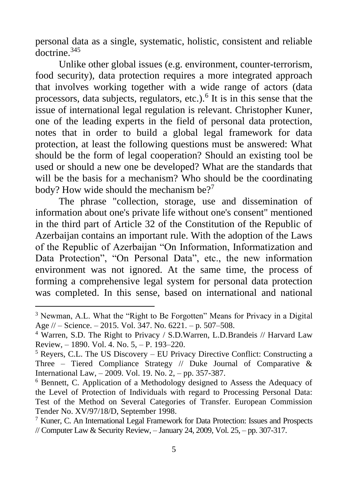personal data as a single, systematic, holistic, consistent and reliable doctrine.<sup>345</sup>

Unlike other global issues (e.g. environment, counter-terrorism, food security), data protection requires a more integrated approach that involves working together with a wide range of actors (data processors, data subjects, regulators, etc.).<sup>6</sup> It is in this sense that the issue of international legal regulation is relevant. Christopher Kuner, one of the leading experts in the field of personal data protection, notes that in order to build a global legal framework for data protection, at least the following questions must be answered: What should be the form of legal cooperation? Should an existing tool be used or should a new one be developed? What are the standards that will be the basis for a mechanism? Who should be the coordinating body? How wide should the mechanism be?<sup>7</sup>

The phrase "collection, storage, use and dissemination of information about one's private life without one's consent" mentioned in the third part of Article 32 of the Constitution of the Republic of Azerbaijan contains an important rule. With the adoption of the Laws of the Republic of Azerbaijan "On Information, Informatization and Data Protection", "On Personal Data", etc., the new information environment was not ignored. At the same time, the process of forming a comprehensive legal system for personal data protection was completed. In this sense, based on international and national

<sup>3</sup> Newman, A.L. What the "Right to Be Forgotten" Means for Privacy in a Digital Age // – Science. – 2015. Vol. 347. No. 6221. – p. 507–508.

<sup>4</sup> Warren, S.D. The Right to Privacy / S.D.Warren, L.D.Brandeis // Harvard Law Review, – 1890. Vol. 4. No. 5, – P. 193–220.

 $<sup>5</sup>$  Reyers, C.L. The US Discovery – EU Privacy Directive Conflict: Constructing a</sup> Three – Tiered Compliance Strategy // Duke Journal of Comparative & International Law, – 2009. Vol. 19. No. 2, – pp. 357-387.

<sup>6</sup> Bennett, C. Application of a Methodology designed to Assess the Adequacy of the Level of Protection of Individuals with regard to Processing Personal Data: Test of the Method on Several Categories of Transfer. European Commission Tender No. XV/97/18/D, September 1998.

<sup>7</sup> Kuner, C. An International Legal Framework for Data Protection: Issues and Prospects // Computer Law & Security Review, – January 24, 2009, Vol. 25, – pp. 307-317.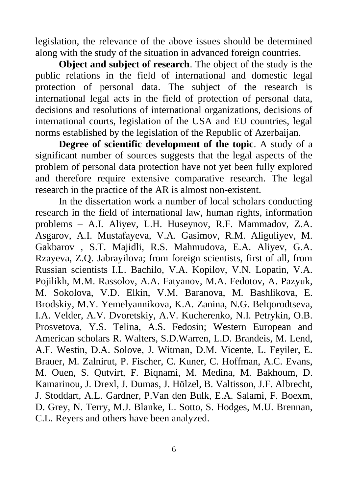legislation, the relevance of the above issues should be determined along with the study of the situation in advanced foreign countries.

**Object and subject of research**. The object of the study is the public relations in the field of international and domestic legal protection of personal data. The subject of the research is international legal acts in the field of protection of personal data, decisions and resolutions of international organizations, decisions of international courts, legislation of the USA and EU countries, legal norms established by the legislation of the Republic of Azerbaijan.

**Degree of scientific development of the topic**. A study of a significant number of sources suggests that the legal aspects of the problem of personal data protection have not yet been fully explored and therefore require extensive comparative research. The legal research in the practice of the AR is almost non-existent.

In the dissertation work a number of local scholars conducting research in the field of international law, human rights, information problems – A.I. Aliyev, L.H. Huseynov, R.F. Mammadov, Z.A. Asgarov, A.I. Mustafayeva, V.A. Gasimov, R.M. Aliguliyev, M. Gakbarov , S.T. Majidli, R.S. Mahmudova, E.A. Aliyev, G.A. Rzayeva, Z.Q. Jabrayilova; from foreign scientists, first of all, from Russian scientists I.L. Bachilo, V.A. Kopilov, V.N. Lopatin, V.A. Pojilikh, M.M. Rassolov, A.A. Fatyanov, M.A. Fedotov, A. Pazyuk, M. Sokolova, V.D. Elkin, V.M. Baranova, M. Bashlikova, E. Brodskiy, M.Y. Yemelyannikova, K.A. Zanina, N.G. Belqorodtseva, I.A. Velder, A.V. Dvoretskiy, A.V. Kucherenko, N.I. Petrykin, O.B. Prosvetova, Y.S. Telina, A.S. Fedosin; Western European and American scholars R. Walters, S.D.Warren, L.D. Brandeis, M. Lend, A.F. Westin, D.A. Solove, J. Witman, D.M. Vicente, L. Feyiler, E. Brauer, M. Zalnirut, P. Fischer, C. Kuner, C. Hoffman, A.C. Evans, M. Ouen, S. Qutvirt, F. Biqnami, M. Medina, M. Bakhoum, D. Kamarinou, J. Drexl, J. Dumas, J. Hölzel, B. Valtisson, J.F. Albrecht, J. Stoddart, A.L. Gardner, P.Van den Bulk, E.A. Salami, F. Boexm, D. Grey, N. Terry, M.J. Blanke, L. Sotto, S. Hodges, M.U. Brennan, C.L. Reyers and others have been analyzed.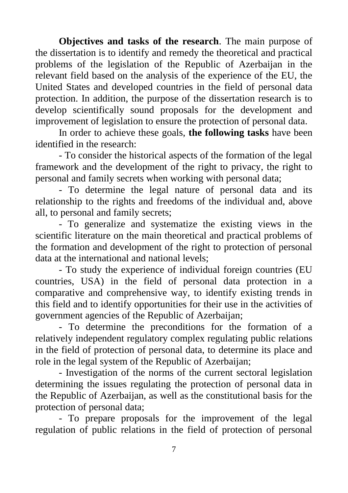**Objectives and tasks of the research**. The main purpose of the dissertation is to identify and remedy the theoretical and practical problems of the legislation of the Republic of Azerbaijan in the relevant field based on the analysis of the experience of the EU, the United States and developed countries in the field of personal data protection. In addition, the purpose of the dissertation research is to develop scientifically sound proposals for the development and improvement of legislation to ensure the protection of personal data.

In order to achieve these goals, **the following tasks** have been identified in the research:

- To consider the historical aspects of the formation of the legal framework and the development of the right to privacy, the right to personal and family secrets when working with personal data;

- To determine the legal nature of personal data and its relationship to the rights and freedoms of the individual and, above all, to personal and family secrets;

- To generalize and systematize the existing views in the scientific literature on the main theoretical and practical problems of the formation and development of the right to protection of personal data at the international and national levels;

- To study the experience of individual foreign countries (EU countries, USA) in the field of personal data protection in a comparative and comprehensive way, to identify existing trends in this field and to identify opportunities for their use in the activities of government agencies of the Republic of Azerbaijan;

- To determine the preconditions for the formation of a relatively independent regulatory complex regulating public relations in the field of protection of personal data, to determine its place and role in the legal system of the Republic of Azerbaijan;

- Investigation of the norms of the current sectoral legislation determining the issues regulating the protection of personal data in the Republic of Azerbaijan, as well as the constitutional basis for the protection of personal data;

- To prepare proposals for the improvement of the legal regulation of public relations in the field of protection of personal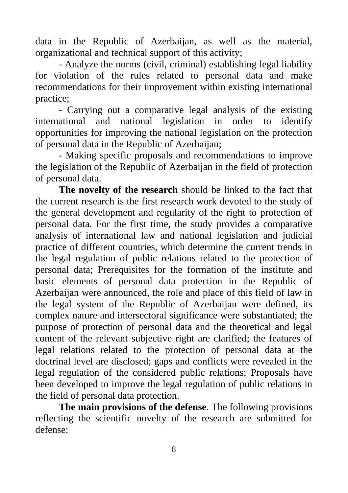data in the Republic of Azerbaijan, as well as the material, organizational and technical support of this activity;

- Analyze the norms (civil, criminal) establishing legal liability for violation of the rules related to personal data and make recommendations for their improvement within existing international practice;

- Carrying out a comparative legal analysis of the existing international and national legislation in order to identify opportunities for improving the national legislation on the protection of personal data in the Republic of Azerbaijan;

- Making specific proposals and recommendations to improve the legislation of the Republic of Azerbaijan in the field of protection of personal data.

**The novelty of the research** should be linked to the fact that the current research is the first research work devoted to the study of the general development and regularity of the right to protection of personal data. For the first time, the study provides a comparative analysis of international law and national legislation and judicial practice of different countries, which determine the current trends in the legal regulation of public relations related to the protection of personal data; Prerequisites for the formation of the institute and basic elements of personal data protection in the Republic of Azerbaijan were announced, the role and place of this field of law in the legal system of the Republic of Azerbaijan were defined, its complex nature and intersectoral significance were substantiated; the purpose of protection of personal data and the theoretical and legal content of the relevant subjective right are clarified; the features of legal relations related to the protection of personal data at the doctrinal level are disclosed; gaps and conflicts were revealed in the legal regulation of the considered public relations; Proposals have been developed to improve the legal regulation of public relations in the field of personal data protection.

**The main provisions of the defense**. The following provisions reflecting the scientific novelty of the research are submitted for defense: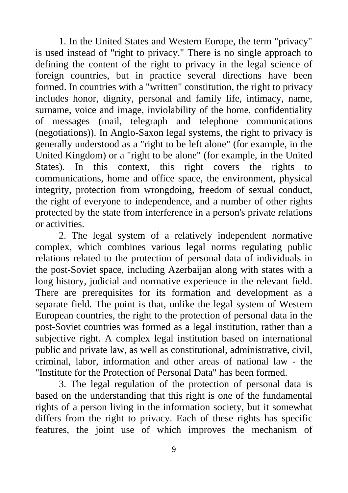1. In the United States and Western Europe, the term "privacy" is used instead of "right to privacy." There is no single approach to defining the content of the right to privacy in the legal science of foreign countries, but in practice several directions have been formed. In countries with a "written" constitution, the right to privacy includes honor, dignity, personal and family life, intimacy, name, surname, voice and image, inviolability of the home, confidentiality of messages (mail, telegraph and telephone communications (negotiations)). In Anglo-Saxon legal systems, the right to privacy is generally understood as a "right to be left alone" (for example, in the United Kingdom) or a "right to be alone" (for example, in the United States). In this context, this right covers the rights to communications, home and office space, the environment, physical integrity, protection from wrongdoing, freedom of sexual conduct, the right of everyone to independence, and a number of other rights protected by the state from interference in a person's private relations or activities.

2. The legal system of a relatively independent normative complex, which combines various legal norms regulating public relations related to the protection of personal data of individuals in the post-Soviet space, including Azerbaijan along with states with a long history, judicial and normative experience in the relevant field. There are prerequisites for its formation and development as a separate field. The point is that, unlike the legal system of Western European countries, the right to the protection of personal data in the post-Soviet countries was formed as a legal institution, rather than a subjective right. A complex legal institution based on international public and private law, as well as constitutional, administrative, civil, criminal, labor, information and other areas of national law - the "Institute for the Protection of Personal Data" has been formed.

3. The legal regulation of the protection of personal data is based on the understanding that this right is one of the fundamental rights of a person living in the information society, but it somewhat differs from the right to privacy. Each of these rights has specific features, the joint use of which improves the mechanism of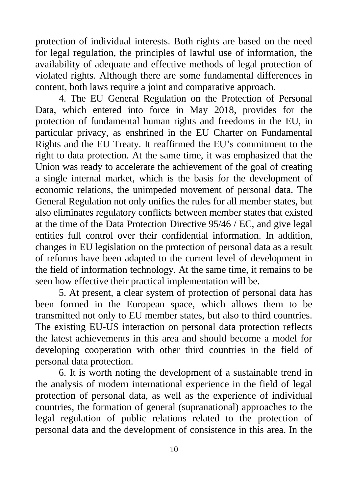protection of individual interests. Both rights are based on the need for legal regulation, the principles of lawful use of information, the availability of adequate and effective methods of legal protection of violated rights. Although there are some fundamental differences in content, both laws require a joint and comparative approach.

4. The EU General Regulation on the Protection of Personal Data, which entered into force in May 2018, provides for the protection of fundamental human rights and freedoms in the EU, in particular privacy, as enshrined in the EU Charter on Fundamental Rights and the EU Treaty. It reaffirmed the EU's commitment to the right to data protection. At the same time, it was emphasized that the Union was ready to accelerate the achievement of the goal of creating a single internal market, which is the basis for the development of economic relations, the unimpeded movement of personal data. The General Regulation not only unifies the rules for all member states, but also eliminates regulatory conflicts between member states that existed at the time of the Data Protection Directive 95/46 / EC, and give legal entities full control over their confidential information. In addition, changes in EU legislation on the protection of personal data as a result of reforms have been adapted to the current level of development in the field of information technology. At the same time, it remains to be seen how effective their practical implementation will be.

5. At present, a clear system of protection of personal data has been formed in the European space, which allows them to be transmitted not only to EU member states, but also to third countries. The existing EU-US interaction on personal data protection reflects the latest achievements in this area and should become a model for developing cooperation with other third countries in the field of personal data protection.

6. It is worth noting the development of a sustainable trend in the analysis of modern international experience in the field of legal protection of personal data, as well as the experience of individual countries, the formation of general (supranational) approaches to the legal regulation of public relations related to the protection of personal data and the development of consistence in this area. In the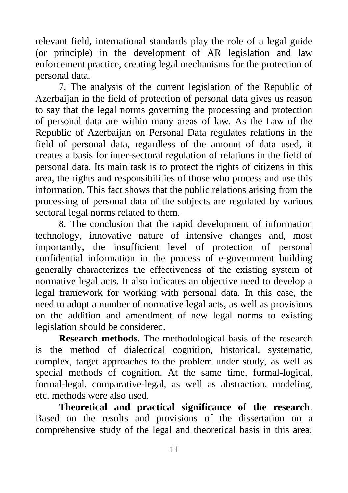relevant field, international standards play the role of a legal guide (or principle) in the development of AR legislation and law enforcement practice, creating legal mechanisms for the protection of personal data.

7. The analysis of the current legislation of the Republic of Azerbaijan in the field of protection of personal data gives us reason to say that the legal norms governing the processing and protection of personal data are within many areas of law. As the Law of the Republic of Azerbaijan on Personal Data regulates relations in the field of personal data, regardless of the amount of data used, it creates a basis for inter-sectoral regulation of relations in the field of personal data. Its main task is to protect the rights of citizens in this area, the rights and responsibilities of those who process and use this information. This fact shows that the public relations arising from the processing of personal data of the subjects are regulated by various sectoral legal norms related to them.

8. The conclusion that the rapid development of information technology, innovative nature of intensive changes and, most importantly, the insufficient level of protection of personal confidential information in the process of e-government building generally characterizes the effectiveness of the existing system of normative legal acts. It also indicates an objective need to develop a legal framework for working with personal data. In this case, the need to adopt a number of normative legal acts, as well as provisions on the addition and amendment of new legal norms to existing legislation should be considered.

**Research methods**. The methodological basis of the research is the method of dialectical cognition, historical, systematic, complex, target approaches to the problem under study, as well as special methods of cognition. At the same time, formal-logical, formal-legal, comparative-legal, as well as abstraction, modeling, etc. methods were also used.

**Theoretical and practical significance of the research**. Based on the results and provisions of the dissertation on a comprehensive study of the legal and theoretical basis in this area;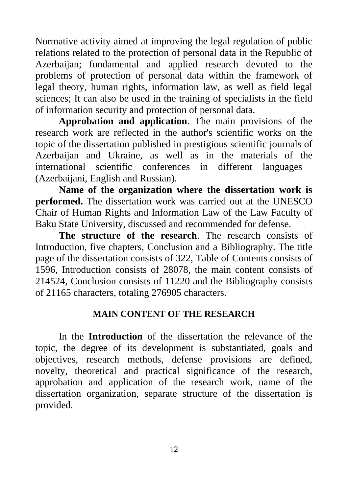Normative activity aimed at improving the legal regulation of public relations related to the protection of personal data in the Republic of Azerbaijan; fundamental and applied research devoted to the problems of protection of personal data within the framework of legal theory, human rights, information law, as well as field legal sciences; It can also be used in the training of specialists in the field of information security and protection of personal data.

**Approbation and application**. The main provisions of the research work are reflected in the author's scientific works on the topic of the dissertation published in prestigious scientific journals of Azerbaijan and Ukraine, as well as in the materials of the international scientific conferences in different languages (Azerbaijani, English and Russian).

**Name of the organization where the dissertation work is performed.** The dissertation work was carried out at the UNESCO Chair of Human Rights and Information Law of the Law Faculty of Baku State University, discussed and recommended for defense.

**The structure of the research**. The research consists of Introduction, five chapters, Conclusion and a Bibliography. The title page of the dissertation consists of 322, Table of Contents consists of 1596, Introduction consists of 28078, the main content consists of 214524, Conclusion consists of 11220 and the Bibliography consists of 21165 characters, totaling 276905 characters.

#### **MAIN CONTENT OF THE RESEARCH**

In the **Introduction** of the dissertation the relevance of the topic, the degree of its development is substantiated, goals and objectives, research methods, defense provisions are defined, novelty, theoretical and practical significance of the research, approbation and application of the research work, name of the dissertation organization, separate structure of the dissertation is provided.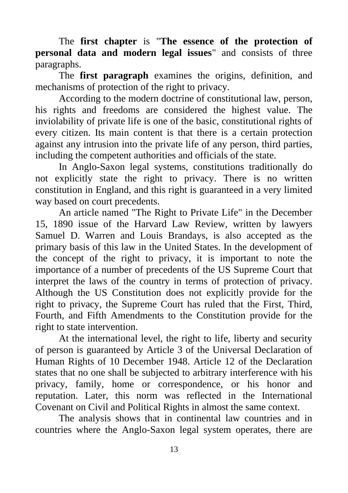The **first chapter** is "**The essence of the protection of personal data and modern legal issues**" and consists of three paragraphs.

The **first paragraph** examines the origins, definition, and mechanisms of protection of the right to privacy.

According to the modern doctrine of constitutional law, person, his rights and freedoms are considered the highest value. The inviolability of private life is one of the basic, constitutional rights of every citizen. Its main content is that there is a certain protection against any intrusion into the private life of any person, third parties, including the competent authorities and officials of the state.

In Anglo-Saxon legal systems, constitutions traditionally do not explicitly state the right to privacy. There is no written constitution in England, and this right is guaranteed in a very limited way based on court precedents.

An article named "The Right to Private Life" in the December 15, 1890 issue of the Harvard Law Review, written by lawyers Samuel D. Warren and Louis Brandays, is also accepted as the primary basis of this law in the United States. In the development of the concept of the right to privacy, it is important to note the importance of a number of precedents of the US Supreme Court that interpret the laws of the country in terms of protection of privacy. Although the US Constitution does not explicitly provide for the right to privacy, the Supreme Court has ruled that the First, Third, Fourth, and Fifth Amendments to the Constitution provide for the right to state intervention.

At the international level, the right to life, liberty and security of person is guaranteed by Article 3 of the Universal Declaration of Human Rights of 10 December 1948. Article 12 of the Declaration states that no one shall be subjected to arbitrary interference with his privacy, family, home or correspondence, or his honor and reputation. Later, this norm was reflected in the International Covenant on Civil and Political Rights in almost the same context.

The analysis shows that in continental law countries and in countries where the Anglo-Saxon legal system operates, there are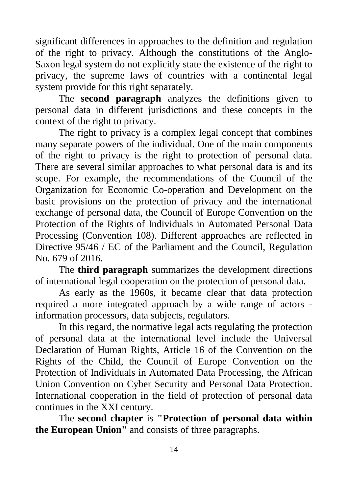significant differences in approaches to the definition and regulation of the right to privacy. Although the constitutions of the Anglo-Saxon legal system do not explicitly state the existence of the right to privacy, the supreme laws of countries with a continental legal system provide for this right separately.

The **second paragraph** analyzes the definitions given to personal data in different jurisdictions and these concepts in the context of the right to privacy.

The right to privacy is a complex legal concept that combines many separate powers of the individual. One of the main components of the right to privacy is the right to protection of personal data. There are several similar approaches to what personal data is and its scope. For example, the recommendations of the Council of the Organization for Economic Co-operation and Development on the basic provisions on the protection of privacy and the international exchange of personal data, the Council of Europe Convention on the Protection of the Rights of Individuals in Automated Personal Data Processing (Convention 108). Different approaches are reflected in Directive 95/46 / EC of the Parliament and the Council, Regulation No. 679 of 2016.

The **third paragraph** summarizes the development directions of international legal cooperation on the protection of personal data.

As early as the 1960s, it became clear that data protection required a more integrated approach by a wide range of actors information processors, data subjects, regulators.

In this regard, the normative legal acts regulating the protection of personal data at the international level include the Universal Declaration of Human Rights, Article 16 of the Convention on the Rights of the Child, the Council of Europe Convention on the Protection of Individuals in Automated Data Processing, the African Union Convention on Cyber Security and Personal Data Protection. International cooperation in the field of protection of personal data continues in the XXI century.

The **second chapter** is **"Protection of personal data within the European Union"** and consists of three paragraphs.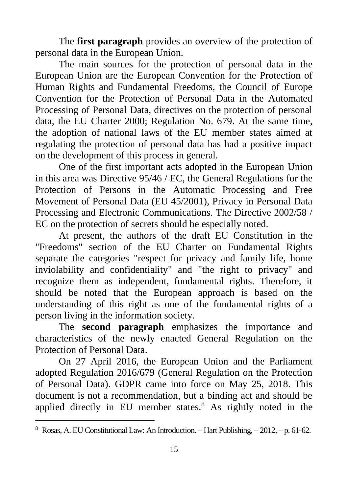The **first paragraph** provides an overview of the protection of personal data in the European Union.

The main sources for the protection of personal data in the European Union are the European Convention for the Protection of Human Rights and Fundamental Freedoms, the Council of Europe Convention for the Protection of Personal Data in the Automated Processing of Personal Data, directives on the protection of personal data, the EU Charter 2000; Regulation No. 679. At the same time, the adoption of national laws of the EU member states aimed at regulating the protection of personal data has had a positive impact on the development of this process in general.

One of the first important acts adopted in the European Union in this area was Directive 95/46 / EC, the General Regulations for the Protection of Persons in the Automatic Processing and Free Movement of Personal Data (EU 45/2001), Privacy in Personal Data Processing and Electronic Communications. The Directive 2002/58 / EC on the protection of secrets should be especially noted.

At present, the authors of the draft EU Constitution in the "Freedoms" section of the EU Charter on Fundamental Rights separate the categories "respect for privacy and family life, home inviolability and confidentiality" and "the right to privacy" and recognize them as independent, fundamental rights. Therefore, it should be noted that the European approach is based on the understanding of this right as one of the fundamental rights of a person living in the information society.

The **second paragraph** emphasizes the importance and characteristics of the newly enacted General Regulation on the Protection of Personal Data.

On 27 April 2016, the European Union and the Parliament adopted Regulation 2016/679 (General Regulation on the Protection of Personal Data). GDPR came into force on May 25, 2018. This document is not a recommendation, but a binding act and should be applied directly in EU member states. $8$  As rightly noted in the

<sup>8</sup> Rosas, A. EU Constitutional Law: An Introduction. – Hart Publishing, – 2012, – p. 61-62.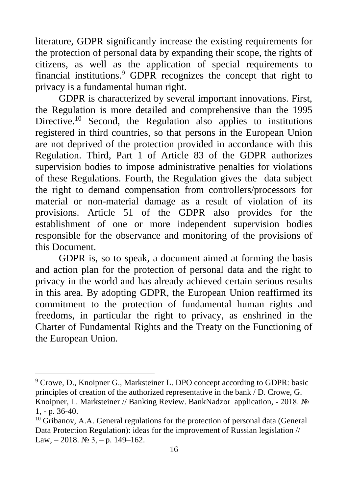literature, GDPR significantly increase the existing requirements for the protection of personal data by expanding their scope, the rights of citizens, as well as the application of special requirements to financial institutions.<sup>9</sup> GDPR recognizes the concept that right to privacy is a fundamental human right.

GDPR is characterized by several important innovations. First, the Regulation is more detailed and comprehensive than the 1995 Directive.<sup>10</sup> Second, the Regulation also applies to institutions registered in third countries, so that persons in the European Union are not deprived of the protection provided in accordance with this Regulation. Third, Part 1 of Article 83 of the GDPR authorizes supervision bodies to impose administrative penalties for violations of these Regulations. Fourth, the Regulation gives the data subject the right to demand compensation from controllers/processors for material or non-material damage as a result of violation of its provisions. Article 51 of the GDPR also provides for the establishment of one or more independent supervision bodies responsible for the observance and monitoring of the provisions of this Document.

GDPR is, so to speak, a document aimed at forming the basis and action plan for the protection of personal data and the right to privacy in the world and has already achieved certain serious results in this area. By adopting GDPR, the European Union reaffirmed its commitment to the protection of fundamental human rights and freedoms, in particular the right to privacy, as enshrined in the Charter of Fundamental Rights and the Treaty on the Functioning of the European Union.

<sup>9</sup> Crowe, D., Knoipner G., Marksteiner L. DPO concept according to GDPR: basic principles of creation of the authorized representative in the bank / D. Crowe, G. Knoipner, L. Marksteiner // Banking Review. BankNadzor application, - 2018. № 1, - p. 36-40.

<sup>&</sup>lt;sup>10</sup> Gribanov, A.A. General regulations for the protection of personal data (General Data Protection Regulation): ideas for the improvement of Russian legislation // Law,  $-2018$ . № 3,  $-$  p. 149–162.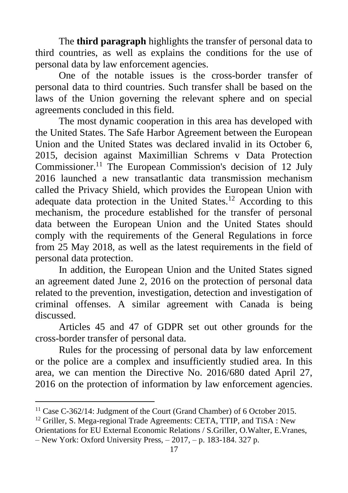The **third paragraph** highlights the transfer of personal data to third countries, as well as explains the conditions for the use of personal data by law enforcement agencies.

One of the notable issues is the cross-border transfer of personal data to third countries. Such transfer shall be based on the laws of the Union governing the relevant sphere and on special agreements concluded in this field.

The most dynamic cooperation in this area has developed with the United States. The Safe Harbor Agreement between the European Union and the United States was declared invalid in its October 6, 2015, decision against Maximillian Schrems v Data Protection Commissioner.<sup>11</sup> The European Commission's decision of 12 July 2016 launched a new transatlantic data transmission mechanism called the Privacy Shield, which provides the European Union with adequate data protection in the United States.<sup>12</sup> According to this mechanism, the procedure established for the transfer of personal data between the European Union and the United States should comply with the requirements of the General Regulations in force from 25 May 2018, as well as the latest requirements in the field of personal data protection.

In addition, the European Union and the United States signed an agreement dated June 2, 2016 on the protection of personal data related to the prevention, investigation, detection and investigation of criminal offenses. A similar agreement with Canada is being discussed.

Articles 45 and 47 of GDPR set out other grounds for the cross-border transfer of personal data.

Rules for the processing of personal data by law enforcement or the police are a complex and insufficiently studied area. In this area, we can mention the Directive No. 2016/680 dated April 27, 2016 on the protection of information by law enforcement agencies.

<sup>&</sup>lt;sup>11</sup> Case C-362/14: Judgment of the Court (Grand Chamber) of 6 October 2015.

<sup>&</sup>lt;sup>12</sup> Griller, S. Mega-regional Trade Agreements: CETA, TTIP, and TiSA : New Orientations for EU External Economic Relations / S.Griller, O.Walter, E.Vranes, – New York: Oxford University Press, – 2017, – p. 183-184. 327 p.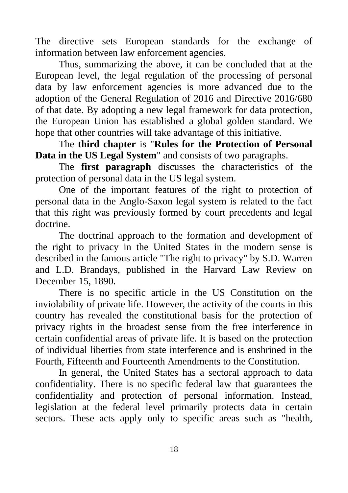The directive sets European standards for the exchange of information between law enforcement agencies.

Thus, summarizing the above, it can be concluded that at the European level, the legal regulation of the processing of personal data by law enforcement agencies is more advanced due to the adoption of the General Regulation of 2016 and Directive 2016/680 of that date. By adopting a new legal framework for data protection, the European Union has established a global golden standard. We hope that other countries will take advantage of this initiative.

The **third chapter** is "**Rules for the Protection of Personal Data in the US Legal System**" and consists of two paragraphs.

The **first paragraph** discusses the characteristics of the protection of personal data in the US legal system.

One of the important features of the right to protection of personal data in the Anglo-Saxon legal system is related to the fact that this right was previously formed by court precedents and legal doctrine.

The doctrinal approach to the formation and development of the right to privacy in the United States in the modern sense is described in the famous article "The right to privacy" by S.D. Warren and L.D. Brandays, published in the Harvard Law Review on December 15, 1890.

There is no specific article in the US Constitution on the inviolability of private life. However, the activity of the courts in this country has revealed the constitutional basis for the protection of privacy rights in the broadest sense from the free interference in certain confidential areas of private life. It is based on the protection of individual liberties from state interference and is enshrined in the Fourth, Fifteenth and Fourteenth Amendments to the Constitution.

In general, the United States has a sectoral approach to data confidentiality. There is no specific federal law that guarantees the confidentiality and protection of personal information. Instead, legislation at the federal level primarily protects data in certain sectors. These acts apply only to specific areas such as "health,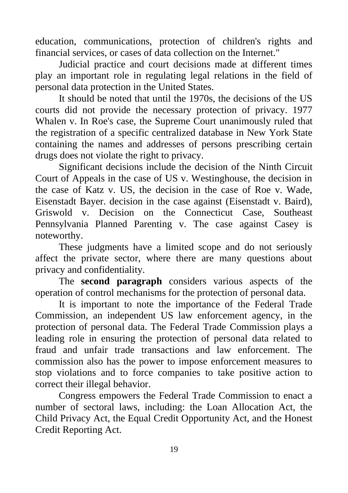education, communications, protection of children's rights and financial services, or cases of data collection on the Internet."

Judicial practice and court decisions made at different times play an important role in regulating legal relations in the field of personal data protection in the United States.

It should be noted that until the 1970s, the decisions of the US courts did not provide the necessary protection of privacy. 1977 Whalen v. In Roe's case, the Supreme Court unanimously ruled that the registration of a specific centralized database in New York State containing the names and addresses of persons prescribing certain drugs does not violate the right to privacy.

Significant decisions include the decision of the Ninth Circuit Court of Appeals in the case of US v. Westinghouse, the decision in the case of Katz v. US, the decision in the case of Roe v. Wade, Eisenstadt Bayer. decision in the case against (Eisenstadt v. Baird), Griswold v. Decision on the Connecticut Case, Southeast Pennsylvania Planned Parenting v. The case against Casey is noteworthy.

These judgments have a limited scope and do not seriously affect the private sector, where there are many questions about privacy and confidentiality.

The **second paragraph** considers various aspects of the operation of control mechanisms for the protection of personal data.

It is important to note the importance of the Federal Trade Commission, an independent US law enforcement agency, in the protection of personal data. The Federal Trade Commission plays a leading role in ensuring the protection of personal data related to fraud and unfair trade transactions and law enforcement. The commission also has the power to impose enforcement measures to stop violations and to force companies to take positive action to correct their illegal behavior.

Congress empowers the Federal Trade Commission to enact a number of sectoral laws, including: the Loan Allocation Act, the Child Privacy Act, the Equal Credit Opportunity Act, and the Honest Credit Reporting Act.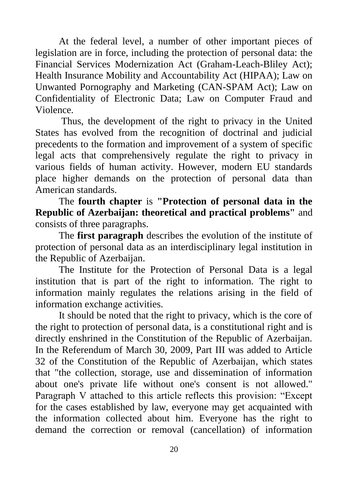At the federal level, a number of other important pieces of legislation are in force, including the protection of personal data: the Financial Services Modernization Act (Graham-Leach-Bliley Act); Health Insurance Mobility and Accountability Act (HIPAA); Law on Unwanted Pornography and Marketing (CAN-SPAM Act); Law on Confidentiality of Electronic Data; Law on Computer Fraud and Violence.

Thus, the development of the right to privacy in the United States has evolved from the recognition of doctrinal and judicial precedents to the formation and improvement of a system of specific legal acts that comprehensively regulate the right to privacy in various fields of human activity. However, modern EU standards place higher demands on the protection of personal data than American standards.

The **fourth chapter** is **"Protection of personal data in the Republic of Azerbaijan: theoretical and practical problems"** and consists of three paragraphs.

The **first paragraph** describes the evolution of the institute of protection of personal data as an interdisciplinary legal institution in the Republic of Azerbaijan.

The Institute for the Protection of Personal Data is a legal institution that is part of the right to information. The right to information mainly regulates the relations arising in the field of information exchange activities.

It should be noted that the right to privacy, which is the core of the right to protection of personal data, is a constitutional right and is directly enshrined in the Constitution of the Republic of Azerbaijan. In the Referendum of March 30, 2009, Part III was added to Article 32 of the Constitution of the Republic of Azerbaijan, which states that "the collection, storage, use and dissemination of information about one's private life without one's consent is not allowed." Paragraph V attached to this article reflects this provision: "Except for the cases established by law, everyone may get acquainted with the information collected about him. Everyone has the right to demand the correction or removal (cancellation) of information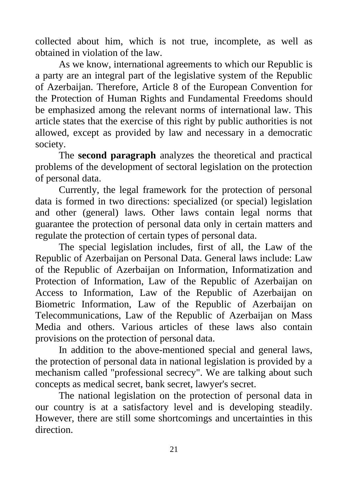collected about him, which is not true, incomplete, as well as obtained in violation of the law.

As we know, international agreements to which our Republic is a party are an integral part of the legislative system of the Republic of Azerbaijan. Therefore, Article 8 of the European Convention for the Protection of Human Rights and Fundamental Freedoms should be emphasized among the relevant norms of international law. This article states that the exercise of this right by public authorities is not allowed, except as provided by law and necessary in a democratic society.

The **second paragraph** analyzes the theoretical and practical problems of the development of sectoral legislation on the protection of personal data.

Currently, the legal framework for the protection of personal data is formed in two directions: specialized (or special) legislation and other (general) laws. Other laws contain legal norms that guarantee the protection of personal data only in certain matters and regulate the protection of certain types of personal data.

The special legislation includes, first of all, the Law of the Republic of Azerbaijan on Personal Data. General laws include: Law of the Republic of Azerbaijan on Information, Informatization and Protection of Information, Law of the Republic of Azerbaijan on Access to Information, Law of the Republic of Azerbaijan on Biometric Information, Law of the Republic of Azerbaijan on Telecommunications, Law of the Republic of Azerbaijan on Mass Media and others. Various articles of these laws also contain provisions on the protection of personal data.

In addition to the above-mentioned special and general laws, the protection of personal data in national legislation is provided by a mechanism called "professional secrecy". We are talking about such concepts as medical secret, bank secret, lawyer's secret.

The national legislation on the protection of personal data in our country is at a satisfactory level and is developing steadily. However, there are still some shortcomings and uncertainties in this direction.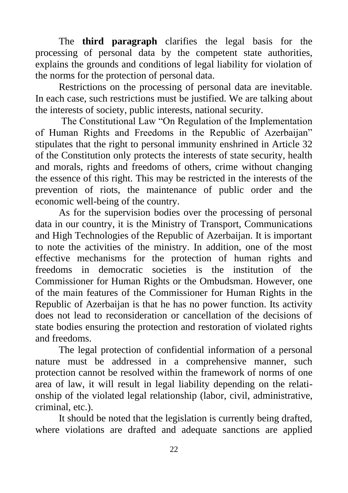The **third paragraph** clarifies the legal basis for the processing of personal data by the competent state authorities, explains the grounds and conditions of legal liability for violation of the norms for the protection of personal data.

Restrictions on the processing of personal data are inevitable. In each case, such restrictions must be justified. We are talking about the interests of society, public interests, national security.

The Constitutional Law "On Regulation of the Implementation of Human Rights and Freedoms in the Republic of Azerbaijan" stipulates that the right to personal immunity enshrined in Article 32 of the Constitution only protects the interests of state security, health and morals, rights and freedoms of others, crime without changing the essence of this right. This may be restricted in the interests of the prevention of riots, the maintenance of public order and the economic well-being of the country.

As for the supervision bodies over the processing of personal data in our country, it is the Ministry of Transport, Communications and High Technologies of the Republic of Azerbaijan. It is important to note the activities of the ministry. In addition, one of the most effective mechanisms for the protection of human rights and freedoms in democratic societies is the institution of the Commissioner for Human Rights or the Ombudsman. However, one of the main features of the Commissioner for Human Rights in the Republic of Azerbaijan is that he has no power function. Its activity does not lead to reconsideration or cancellation of the decisions of state bodies ensuring the protection and restoration of violated rights and freedoms.

The legal protection of confidential information of a personal nature must be addressed in a comprehensive manner, such protection cannot be resolved within the framework of norms of one area of law, it will result in legal liability depending on the relationship of the violated legal relationship (labor, civil, administrative, criminal, etc.).

It should be noted that the legislation is currently being drafted, where violations are drafted and adequate sanctions are applied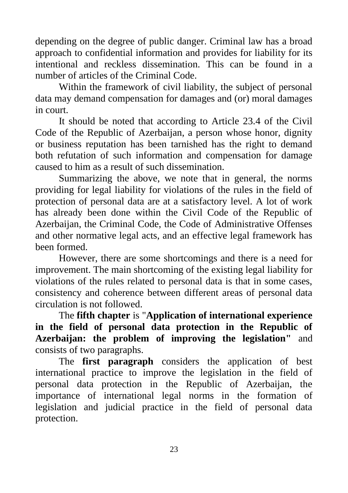depending on the degree of public danger. Criminal law has a broad approach to confidential information and provides for liability for its intentional and reckless dissemination. This can be found in a number of articles of the Criminal Code.

Within the framework of civil liability, the subject of personal data may demand compensation for damages and (or) moral damages in court.

It should be noted that according to Article 23.4 of the Civil Code of the Republic of Azerbaijan, a person whose honor, dignity or business reputation has been tarnished has the right to demand both refutation of such information and compensation for damage caused to him as a result of such dissemination.

Summarizing the above, we note that in general, the norms providing for legal liability for violations of the rules in the field of protection of personal data are at a satisfactory level. A lot of work has already been done within the Civil Code of the Republic of Azerbaijan, the Criminal Code, the Code of Administrative Offenses and other normative legal acts, and an effective legal framework has been formed.

However, there are some shortcomings and there is a need for improvement. The main shortcoming of the existing legal liability for violations of the rules related to personal data is that in some cases, consistency and coherence between different areas of personal data circulation is not followed.

The **fifth chapter** is "**Application of international experience in the field of personal data protection in the Republic of Azerbaijan: the problem of improving the legislation"** and consists of two paragraphs.

The **first paragraph** considers the application of best international practice to improve the legislation in the field of personal data protection in the Republic of Azerbaijan, the importance of international legal norms in the formation of legislation and judicial practice in the field of personal data protection.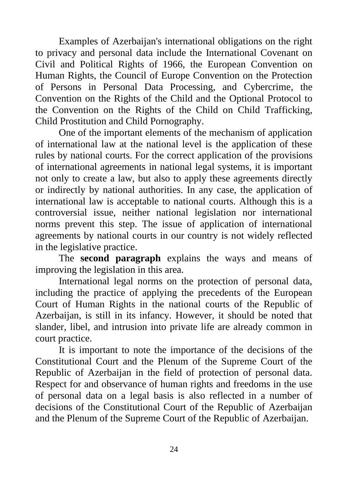Examples of Azerbaijan's international obligations on the right to privacy and personal data include the International Covenant on Civil and Political Rights of 1966, the European Convention on Human Rights, the Council of Europe Convention on the Protection of Persons in Personal Data Processing, and Cybercrime, the Convention on the Rights of the Child and the Optional Protocol to the Convention on the Rights of the Child on Child Trafficking, Child Prostitution and Child Pornography.

One of the important elements of the mechanism of application of international law at the national level is the application of these rules by national courts. For the correct application of the provisions of international agreements in national legal systems, it is important not only to create a law, but also to apply these agreements directly or indirectly by national authorities. In any case, the application of international law is acceptable to national courts. Although this is a controversial issue, neither national legislation nor international norms prevent this step. The issue of application of international agreements by national courts in our country is not widely reflected in the legislative practice.

The **second paragraph** explains the ways and means of improving the legislation in this area.

International legal norms on the protection of personal data, including the practice of applying the precedents of the European Court of Human Rights in the national courts of the Republic of Azerbaijan, is still in its infancy. However, it should be noted that slander, libel, and intrusion into private life are already common in court practice.

It is important to note the importance of the decisions of the Constitutional Court and the Plenum of the Supreme Court of the Republic of Azerbaijan in the field of protection of personal data. Respect for and observance of human rights and freedoms in the use of personal data on a legal basis is also reflected in a number of decisions of the Constitutional Court of the Republic of Azerbaijan and the Plenum of the Supreme Court of the Republic of Azerbaijan.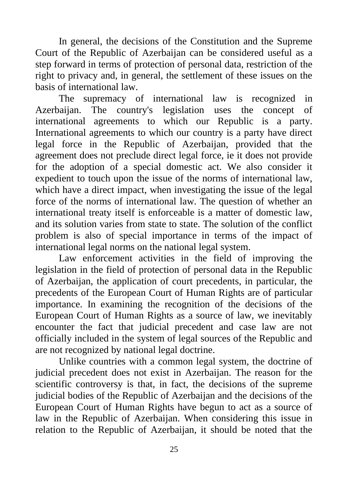In general, the decisions of the Constitution and the Supreme Court of the Republic of Azerbaijan can be considered useful as a step forward in terms of protection of personal data, restriction of the right to privacy and, in general, the settlement of these issues on the basis of international law.

The supremacy of international law is recognized in Azerbaijan. The country's legislation uses the concept of international agreements to which our Republic is a party. International agreements to which our country is a party have direct legal force in the Republic of Azerbaijan, provided that the agreement does not preclude direct legal force, ie it does not provide for the adoption of a special domestic act. We also consider it expedient to touch upon the issue of the norms of international law, which have a direct impact, when investigating the issue of the legal force of the norms of international law. The question of whether an international treaty itself is enforceable is a matter of domestic law, and its solution varies from state to state. The solution of the conflict problem is also of special importance in terms of the impact of international legal norms on the national legal system.

Law enforcement activities in the field of improving the legislation in the field of protection of personal data in the Republic of Azerbaijan, the application of court precedents, in particular, the precedents of the European Court of Human Rights are of particular importance. In examining the recognition of the decisions of the European Court of Human Rights as a source of law, we inevitably encounter the fact that judicial precedent and case law are not officially included in the system of legal sources of the Republic and are not recognized by national legal doctrine.

Unlike countries with a common legal system, the doctrine of judicial precedent does not exist in Azerbaijan. The reason for the scientific controversy is that, in fact, the decisions of the supreme judicial bodies of the Republic of Azerbaijan and the decisions of the European Court of Human Rights have begun to act as a source of law in the Republic of Azerbaijan. When considering this issue in relation to the Republic of Azerbaijan, it should be noted that the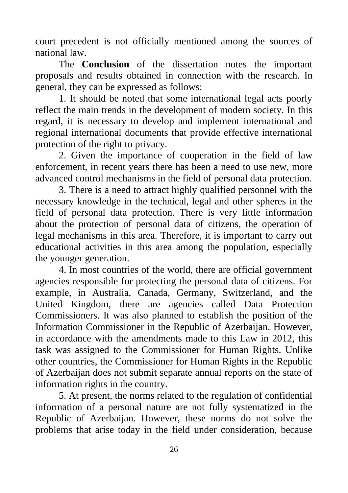court precedent is not officially mentioned among the sources of national law.

The **Conclusion** of the dissertation notes the important proposals and results obtained in connection with the research. In general, they can be expressed as follows:

1. It should be noted that some international legal acts poorly reflect the main trends in the development of modern society. In this regard, it is necessary to develop and implement international and regional international documents that provide effective international protection of the right to privacy.

2. Given the importance of cooperation in the field of law enforcement, in recent years there has been a need to use new, more advanced control mechanisms in the field of personal data protection.

3. There is a need to attract highly qualified personnel with the necessary knowledge in the technical, legal and other spheres in the field of personal data protection. There is very little information about the protection of personal data of citizens, the operation of legal mechanisms in this area. Therefore, it is important to carry out educational activities in this area among the population, especially the younger generation.

4. In most countries of the world, there are official government agencies responsible for protecting the personal data of citizens. For example, in Australia, Canada, Germany, Switzerland, and the United Kingdom, there are agencies called Data Protection Commissioners. It was also planned to establish the position of the Information Commissioner in the Republic of Azerbaijan. However, in accordance with the amendments made to this Law in 2012, this task was assigned to the Commissioner for Human Rights. Unlike other countries, the Commissioner for Human Rights in the Republic of Azerbaijan does not submit separate annual reports on the state of information rights in the country.

5. At present, the norms related to the regulation of confidential information of a personal nature are not fully systematized in the Republic of Azerbaijan. However, these norms do not solve the problems that arise today in the field under consideration, because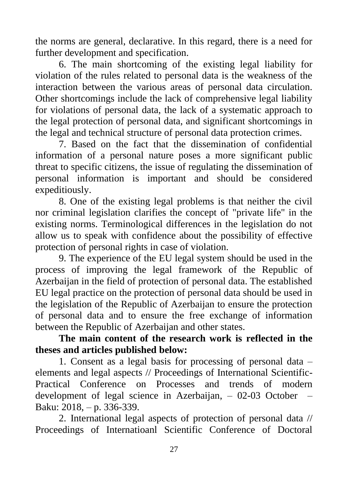the norms are general, declarative. In this regard, there is a need for further development and specification.

6. The main shortcoming of the existing legal liability for violation of the rules related to personal data is the weakness of the interaction between the various areas of personal data circulation. Other shortcomings include the lack of comprehensive legal liability for violations of personal data, the lack of a systematic approach to the legal protection of personal data, and significant shortcomings in the legal and technical structure of personal data protection crimes.

7. Based on the fact that the dissemination of confidential information of a personal nature poses a more significant public threat to specific citizens, the issue of regulating the dissemination of personal information is important and should be considered expeditiously.

8. One of the existing legal problems is that neither the civil nor criminal legislation clarifies the concept of "private life" in the existing norms. Terminological differences in the legislation do not allow us to speak with confidence about the possibility of effective protection of personal rights in case of violation.

9. The experience of the EU legal system should be used in the process of improving the legal framework of the Republic of Azerbaijan in the field of protection of personal data. The established EU legal practice on the protection of personal data should be used in the legislation of the Republic of Azerbaijan to ensure the protection of personal data and to ensure the free exchange of information between the Republic of Azerbaijan and other states.

## **The main content of the research work is reflected in the theses and articles published below:**

1. Consent as a legal basis for processing of personal data – elements and legal aspects // Proceedings of International Scientific-Practical Conference on Processes and trends of modern development of legal science in Azerbaijan, – 02-03 October – Baku: 2018, – p. 336-339.

2. International legal aspects of protection of personal data // Proceedings of Internatioanl Scientific Conference of Doctoral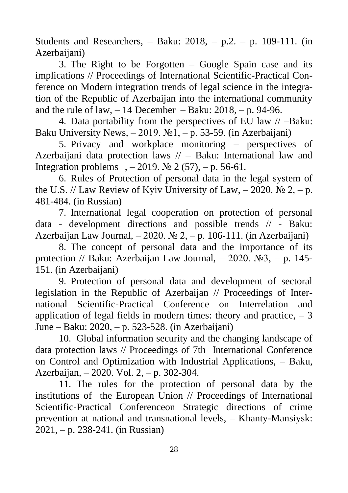Students and Researchers,  $-$  Baku: 2018,  $-$  p.2.  $-$  p. 109-111. (in Azerbaijani)

3. The Right to be Forgotten – Google Spain case and its implications // Proceedings of International Scientific-Practical Conference on Modern integration trends of legal science in the integration of the Republic of Azerbaijan into the international community and the rule of law,  $-14$  December – Baku: 2018,  $- p$ . 94-96.

4. Data portability from the perspectives of EU law // –Baku: Baku University News,  $-2019$ .  $\mathbb{N}$ <sup>1</sup>,  $-$  p. 53-59. (in Azerbaijani)

5. Privacy and workplace monitoring – perspectives of Azerbaijani data protection laws // – Baku: International law and Integration problems ,  $-2019$ . № 2 (57),  $-$  p. 56-61.

6. Rules of Protection of personal data in the legal system of the U.S. // Law Review of Kyiv University of Law,  $-2020$ . No  $2, -p$ . 481-484. (in Russian)

7. International legal cooperation on protection of personal data - development directions and possible trends // - Baku: Azerbaijan Law Journal,  $-2020$ . No  $2, -p$ . 106-111. (in Azerbaijani)

8. The concept of personal data and the importance of its protection // Baku: Azerbaijan Law Journal,  $-2020$ . №3,  $-$  p. 145-151. (in Azerbaijani)

9. Protection of personal data and development of sectoral legislation in the Republic of Azerbaijan // Proceedings of International Scientific-Practical Conference on Interrelation and application of legal fields in modern times: theory and practice,  $-3$ June – Baku: 2020, – p. 523-528. (in Azerbaijani)

10. Global information security and the changing landscape of data protection laws // Proceedings of 7th International Conference on Control and Optimization with Industrial Applications, – Baku, Azerbaijan, – 2020. Vol. 2, – p. 302-304.

11. The rules for the protection of personal data by the institutions of the European Union // Proceedings of International Scientific-Practical Conferenceon Strategic directions of crime prevention at national and transnational levels, – Khanty-Mansiysk: 2021, – p. 238-241. (in Russian)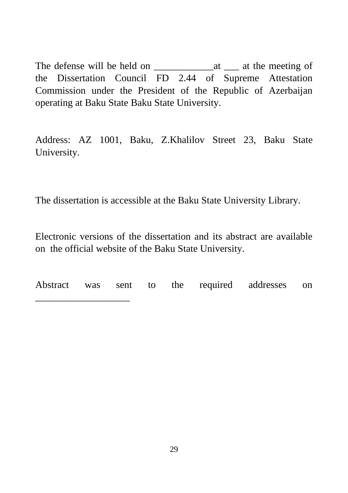The defense will be held on \_\_\_\_\_\_\_\_\_\_\_\_at \_\_\_ at the meeting of the Dissertation Council FD 2.44 of Supreme Attestation Commission under the President of the Republic of Azerbaijan operating at Baku State Baku State University.

Address: AZ 1001, Baku, Z.Khalilov Street 23, Baku State University.

The dissertation is accessible at the Baku State University Library.

Electronic versions of the dissertation and its abstract are available on the official website of the Baku State University.

Abstract was sent to the required addresses on \_\_\_\_\_\_\_\_\_\_\_\_\_\_\_\_\_\_\_